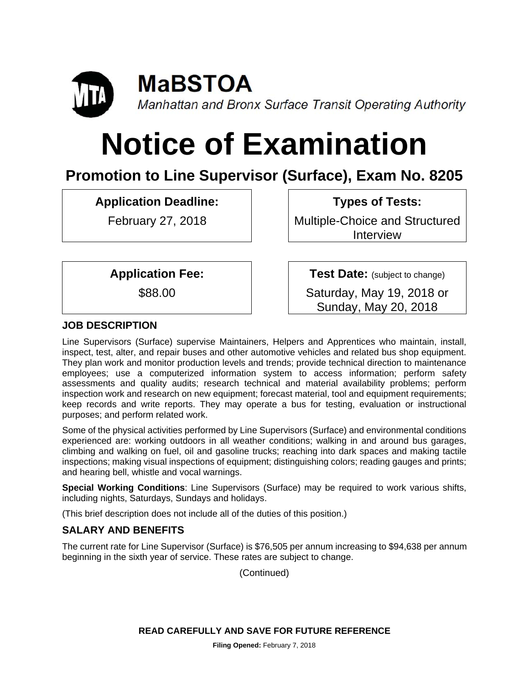

**MaBSTOA** Manhattan and Bronx Surface Transit Operating Authority

# **Notice of Examination**

# **Promotion to Line Supervisor (Surface), Exam No. 8205**

**Application Deadline:** 

February 27, 2018

 **Types of Tests:** 

Multiple-Choice and Structured Interview

**Application Fee:** 

\$88.00

 **Test Date:** (subject to change)

Saturday, May 19, 2018 or Sunday, May 20, 2018

# **JOB DESCRIPTION**

Line Supervisors (Surface) supervise Maintainers, Helpers and Apprentices who maintain, install, inspect, test, alter, and repair buses and other automotive vehicles and related bus shop equipment. They plan work and monitor production levels and trends; provide technical direction to maintenance employees; use a computerized information system to access information; perform safety assessments and quality audits; research technical and material availability problems; perform inspection work and research on new equipment; forecast material, tool and equipment requirements; keep records and write reports. They may operate a bus for testing, evaluation or instructional purposes; and perform related work.

Some of the physical activities performed by Line Supervisors (Surface) and environmental conditions experienced are: working outdoors in all weather conditions; walking in and around bus garages, climbing and walking on fuel, oil and gasoline trucks; reaching into dark spaces and making tactile inspections; making visual inspections of equipment; distinguishing colors; reading gauges and prints; and hearing bell, whistle and vocal warnings.

**Special Working Conditions**: Line Supervisors (Surface) may be required to work various shifts, including nights, Saturdays, Sundays and holidays.

(This brief description does not include all of the duties of this position.)

# **SALARY AND BENEFITS**

The current rate for Line Supervisor (Surface) is \$76,505 per annum increasing to \$94,638 per annum beginning in the sixth year of service. These rates are subject to change.

(Continued)

**READ CAREFULLY AND SAVE FOR FUTURE REFERENCE**

**Filing Opened:** February 7, 2018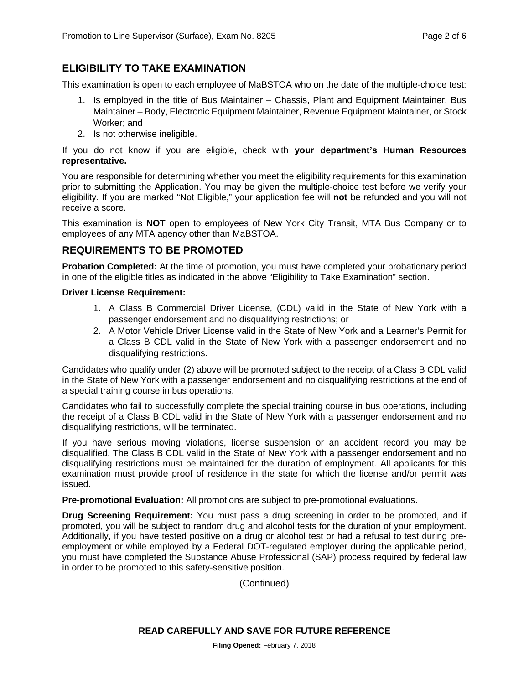#### **ELIGIBILITY TO TAKE EXAMINATION**

This examination is open to each employee of MaBSTOA who on the date of the multiple-choice test:

- 1. Is employed in the title of Bus Maintainer Chassis, Plant and Equipment Maintainer, Bus Maintainer – Body, Electronic Equipment Maintainer, Revenue Equipment Maintainer, or Stock Worker; and
- 2. Is not otherwise ineligible.

If you do not know if you are eligible, check with **your department's Human Resources representative.** 

You are responsible for determining whether you meet the eligibility requirements for this examination prior to submitting the Application. You may be given the multiple-choice test before we verify your eligibility. If you are marked "Not Eligible," your application fee will **not** be refunded and you will not receive a score.

This examination is **NOT** open to employees of New York City Transit, MTA Bus Company or to employees of any MTA agency other than MaBSTOA.

#### **REQUIREMENTS TO BE PROMOTED**

**Probation Completed:** At the time of promotion, you must have completed your probationary period in one of the eligible titles as indicated in the above "Eligibility to Take Examination" section.

#### **Driver License Requirement:**

- 1. A Class B Commercial Driver License, (CDL) valid in the State of New York with a passenger endorsement and no disqualifying restrictions; or
- 2. A Motor Vehicle Driver License valid in the State of New York and a Learner's Permit for a Class B CDL valid in the State of New York with a passenger endorsement and no disqualifying restrictions.

Candidates who qualify under (2) above will be promoted subject to the receipt of a Class B CDL valid in the State of New York with a passenger endorsement and no disqualifying restrictions at the end of a special training course in bus operations.

Candidates who fail to successfully complete the special training course in bus operations, including the receipt of a Class B CDL valid in the State of New York with a passenger endorsement and no disqualifying restrictions, will be terminated.

If you have serious moving violations, license suspension or an accident record you may be disqualified. The Class B CDL valid in the State of New York with a passenger endorsement and no disqualifying restrictions must be maintained for the duration of employment. All applicants for this examination must provide proof of residence in the state for which the license and/or permit was issued.

**Pre-promotional Evaluation:** All promotions are subject to pre-promotional evaluations.

**Drug Screening Requirement:** You must pass a drug screening in order to be promoted, and if promoted, you will be subject to random drug and alcohol tests for the duration of your employment. Additionally, if you have tested positive on a drug or alcohol test or had a refusal to test during preemployment or while employed by a Federal DOT-regulated employer during the applicable period, you must have completed the Substance Abuse Professional (SAP) process required by federal law in order to be promoted to this safety-sensitive position.

(Continued)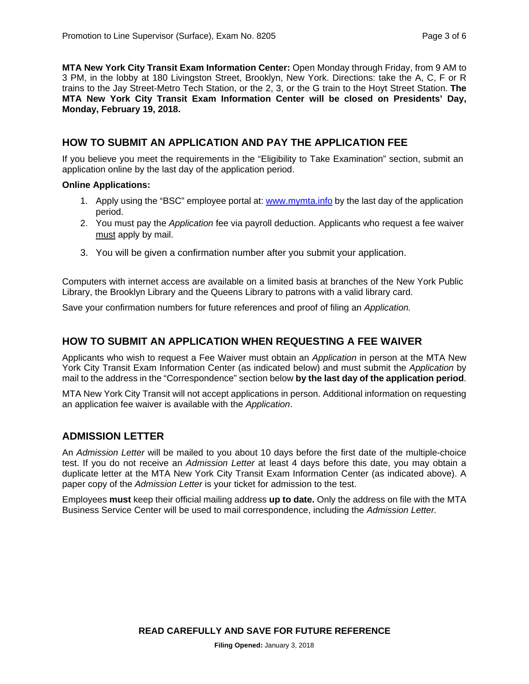**MTA New York City Transit Exam Information Center:** Open Monday through Friday, from 9 AM to 3 PM, in the lobby at 180 Livingston Street, Brooklyn, New York. Directions: take the A, C, F or R trains to the Jay Street-Metro Tech Station, or the 2, 3, or the G train to the Hoyt Street Station. **The MTA New York City Transit Exam Information Center will be closed on Presidents' Day, Monday, February 19, 2018.** 

#### **HOW TO SUBMIT AN APPLICATION AND PAY THE APPLICATION FEE**

If you believe you meet the requirements in the "Eligibility to Take Examination" section, submit an application online by the last day of the application period.

#### **Online Applications:**

- 1. Apply using the "BSC" employee portal at: www.mymta.info by the last day of the application period.
- 2. You must pay the *Application* fee via payroll deduction. Applicants who request a fee waiver must apply by mail.
- 3. You will be given a confirmation number after you submit your application.

Computers with internet access are available on a limited basis at branches of the New York Public Library, the Brooklyn Library and the Queens Library to patrons with a valid library card.

Save your confirmation numbers for future references and proof of filing an *Application.*

#### **HOW TO SUBMIT AN APPLICATION WHEN REQUESTING A FEE WAIVER**

Applicants who wish to request a Fee Waiver must obtain an *Application* in person at the MTA New York City Transit Exam Information Center (as indicated below) and must submit the *Application* by mail to the address in the "Correspondence" section below **by the last day of the application period**.

MTA New York City Transit will not accept applications in person. Additional information on requesting an application fee waiver is available with the *Application*.

#### **ADMISSION LETTER**

An *Admission Letter* will be mailed to you about 10 days before the first date of the multiple-choice test. If you do not receive an *Admission Letter* at least 4 days before this date, you may obtain a duplicate letter at the MTA New York City Transit Exam Information Center (as indicated above). A paper copy of the *Admission Letter* is your ticket for admission to the test.

Employees **must** keep their official mailing address **up to date.** Only the address on file with the MTA Business Service Center will be used to mail correspondence, including the *Admission Letter.*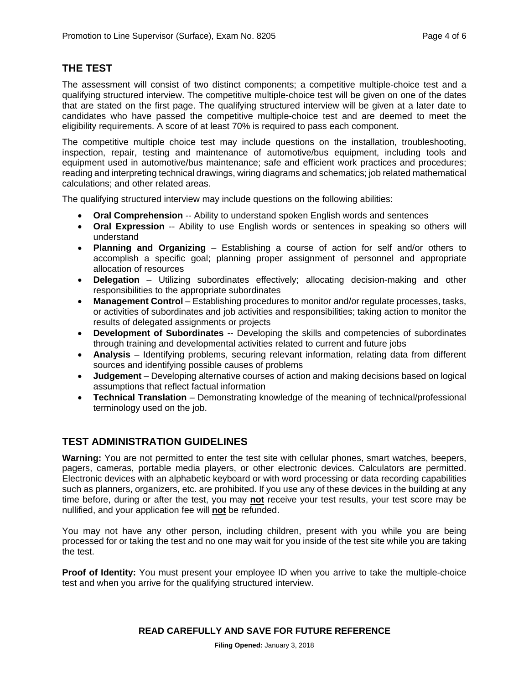# **THE TEST**

The assessment will consist of two distinct components; a competitive multiple-choice test and a qualifying structured interview. The competitive multiple-choice test will be given on one of the dates that are stated on the first page. The qualifying structured interview will be given at a later date to candidates who have passed the competitive multiple-choice test and are deemed to meet the eligibility requirements. A score of at least 70% is required to pass each component.

The competitive multiple choice test may include questions on the installation, troubleshooting, inspection, repair, testing and maintenance of automotive/bus equipment, including tools and equipment used in automotive/bus maintenance; safe and efficient work practices and procedures; reading and interpreting technical drawings, wiring diagrams and schematics; job related mathematical calculations; and other related areas.

The qualifying structured interview may include questions on the following abilities:

- **Oral Comprehension** -- Ability to understand spoken English words and sentences
- **Oral Expression** -- Ability to use English words or sentences in speaking so others will understand
- **Planning and Organizing** Establishing a course of action for self and/or others to accomplish a specific goal; planning proper assignment of personnel and appropriate allocation of resources
- **Delegation** Utilizing subordinates effectively; allocating decision-making and other responsibilities to the appropriate subordinates
- **Management Control** Establishing procedures to monitor and/or regulate processes, tasks, or activities of subordinates and job activities and responsibilities; taking action to monitor the results of delegated assignments or projects
- **Development of Subordinates** -- Developing the skills and competencies of subordinates through training and developmental activities related to current and future jobs
- **Analysis** Identifying problems, securing relevant information, relating data from different sources and identifying possible causes of problems
- **Judgement** Developing alternative courses of action and making decisions based on logical assumptions that reflect factual information
- **Technical Translation** Demonstrating knowledge of the meaning of technical/professional terminology used on the job.

# **TEST ADMINISTRATION GUIDELINES**

**Warning:** You are not permitted to enter the test site with cellular phones, smart watches, beepers, pagers, cameras, portable media players, or other electronic devices. Calculators are permitted. Electronic devices with an alphabetic keyboard or with word processing or data recording capabilities such as planners, organizers, etc. are prohibited. If you use any of these devices in the building at any time before, during or after the test, you may **not** receive your test results, your test score may be nullified, and your application fee will **not** be refunded.

You may not have any other person, including children, present with you while you are being processed for or taking the test and no one may wait for you inside of the test site while you are taking the test.

**Proof of Identity:** You must present your employee ID when you arrive to take the multiple-choice test and when you arrive for the qualifying structured interview.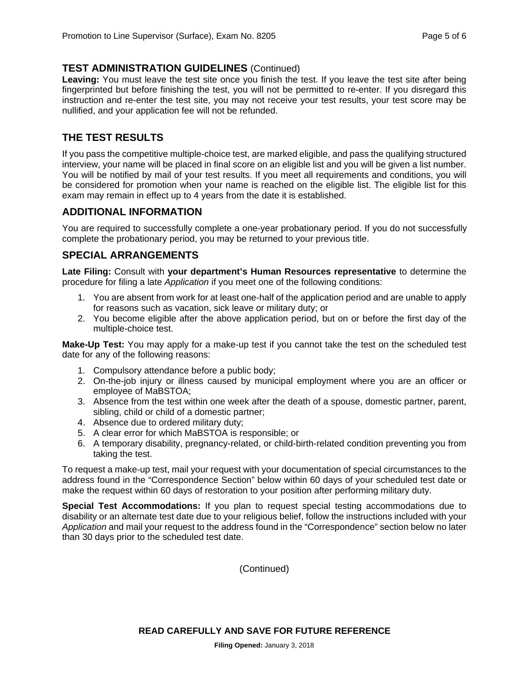#### **TEST ADMINISTRATION GUIDELINES** (Continued)

Leaving: You must leave the test site once you finish the test. If you leave the test site after being fingerprinted but before finishing the test, you will not be permitted to re-enter. If you disregard this instruction and re-enter the test site, you may not receive your test results, your test score may be nullified, and your application fee will not be refunded.

## **THE TEST RESULTS**

If you pass the competitive multiple-choice test, are marked eligible, and pass the qualifying structured interview, your name will be placed in final score on an eligible list and you will be given a list number. You will be notified by mail of your test results. If you meet all requirements and conditions, you will be considered for promotion when your name is reached on the eligible list. The eligible list for this exam may remain in effect up to 4 years from the date it is established.

#### **ADDITIONAL INFORMATION**

You are required to successfully complete a one-year probationary period. If you do not successfully complete the probationary period, you may be returned to your previous title.

#### **SPECIAL ARRANGEMENTS**

**Late Filing:** Consult with **your department's Human Resources representative** to determine the procedure for filing a late *Application* if you meet one of the following conditions:

- 1. You are absent from work for at least one-half of the application period and are unable to apply for reasons such as vacation, sick leave or military duty; or
- 2. You become eligible after the above application period, but on or before the first day of the multiple-choice test.

**Make-Up Test:** You may apply for a make-up test if you cannot take the test on the scheduled test date for any of the following reasons:

- 1. Compulsory attendance before a public body;
- 2. On-the-job injury or illness caused by municipal employment where you are an officer or employee of MaBSTOA;
- 3. Absence from the test within one week after the death of a spouse, domestic partner, parent, sibling, child or child of a domestic partner;
- 4. Absence due to ordered military duty;
- 5. A clear error for which MaBSTOA is responsible; or
- 6. A temporary disability, pregnancy-related, or child-birth-related condition preventing you from taking the test.

To request a make-up test, mail your request with your documentation of special circumstances to the address found in the "Correspondence Section" below within 60 days of your scheduled test date or make the request within 60 days of restoration to your position after performing military duty.

**Special Test Accommodations:** If you plan to request special testing accommodations due to disability or an alternate test date due to your religious belief, follow the instructions included with your *Application* and mail your request to the address found in the "Correspondence" section below no later than 30 days prior to the scheduled test date.

(Continued)